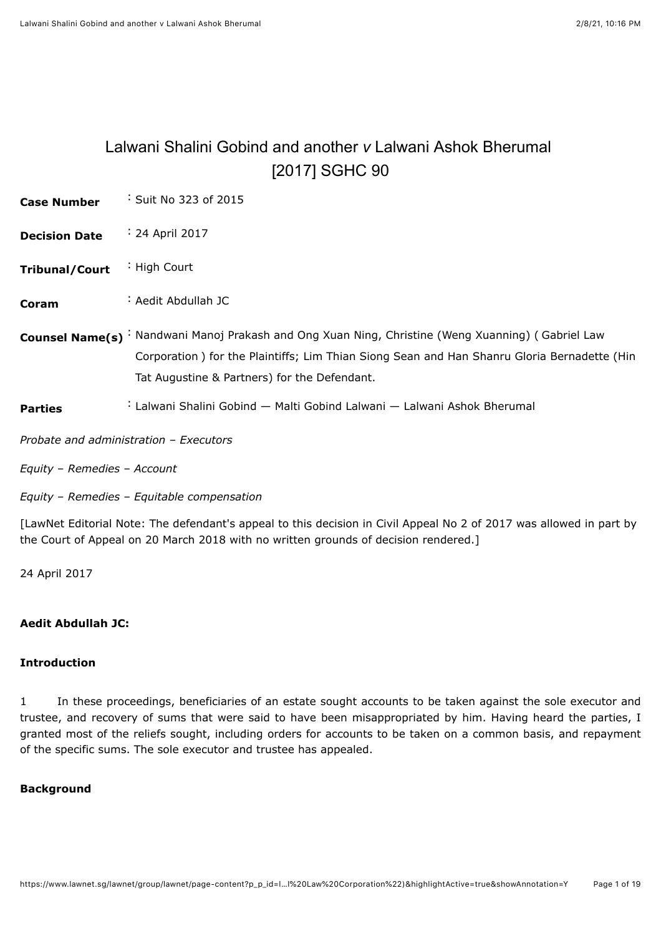# <span id="page-0-0"></span>Lalwani Shalini Gobind and another *v* Lalwani Ashok Bherumal [\[2017\] SGHC 90](javascript:viewPageContent()

| <b>Case Number</b>                     | Suit No 323 of 2015                                                                                                                                                                                                                               |
|----------------------------------------|---------------------------------------------------------------------------------------------------------------------------------------------------------------------------------------------------------------------------------------------------|
| <b>Decision Date</b>                   | $\div$ 24 April 2017                                                                                                                                                                                                                              |
| <b>Tribunal/Court</b>                  | High Court                                                                                                                                                                                                                                        |
| Coram                                  | : Aedit Abdullah JC                                                                                                                                                                                                                               |
|                                        | Counsel Name(s) : Nandwani Manoj Prakash and Ong Xuan Ning, Christine (Weng Xuanning) (Gabriel Law<br>Corporation) for the Plaintiffs; Lim Thian Siong Sean and Han Shanru Gloria Bernadette (Hin<br>Tat Augustine & Partners) for the Defendant. |
| <b>Parties</b>                         | : Lalwani Shalini Gobind — Malti Gobind Lalwani — Lalwani Ashok Bherumal                                                                                                                                                                          |
| Probate and administration - Executors |                                                                                                                                                                                                                                                   |

*Equity* – *Remedies* – *Account*

*Equity* – *Remedies* – *Equitable compensation*

[LawNet Editorial Note: The defendant's appeal to this decision in Civil Appeal No 2 of 2017 was allowed in part by the Court of Appeal on 20 March 2018 with no written grounds of decision rendered.]

24 April 2017

## **Aedit Abdullah JC:**

## **Introduction**

1 In these proceedings, beneficiaries of an estate sought accounts to be taken against the sole executor and trustee, and recovery of sums that were said to have been misappropriated by him. Having heard the parties, I granted most of the reliefs sought, including orders for accounts to be taken on a common basis, and repayment of the specific sums. The sole executor and trustee has appealed.

## **Background**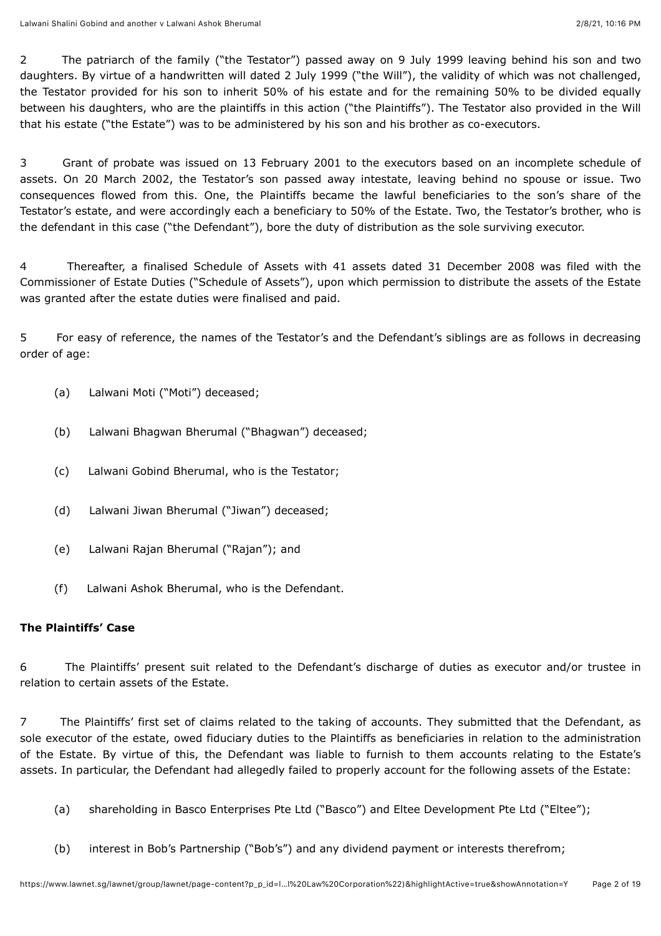2 The patriarch of the family ("the Testator") passed away on 9 July 1999 leaving behind his son and two daughters. By virtue of a handwritten will dated 2 July 1999 ("the Will"), the validity of which was not challenged, the Testator provided for his son to inherit 50% of his estate and for the remaining 50% to be divided equally between his daughters, who are the plaintiffs in this action ("the Plaintiffs"). The Testator also provided in the Will that his estate ("the Estate") was to be administered by his son and his brother as co-executors.

3 Grant of probate was issued on 13 February 2001 to the executors based on an incomplete schedule of assets. On 20 March 2002, the Testator's son passed away intestate, leaving behind no spouse or issue. Two consequences flowed from this. One, the Plaintiffs became the lawful beneficiaries to the son's share of the Testator's estate, and were accordingly each a beneficiary to 50% of the Estate. Two, the Testator's brother, who is the defendant in this case ("the Defendant"), bore the duty of distribution as the sole surviving executor.

4 Thereafter, a finalised Schedule of Assets with 41 assets dated 31 December 2008 was filed with the Commissioner of Estate Duties ("Schedule of Assets"), upon which permission to distribute the assets of the Estate was granted after the estate duties were finalised and paid.

5 For easy of reference, the names of the Testator's and the Defendant's siblings are as follows in decreasing order of age:

- (a) Lalwani Moti ("Moti") deceased;
- (b) Lalwani Bhagwan Bherumal ("Bhagwan") deceased;
- (c) Lalwani Gobind Bherumal, who is the Testator;
- (d) Lalwani Jiwan Bherumal ("Jiwan") deceased;
- (e) Lalwani Rajan Bherumal ("Rajan"); and
- (f) Lalwani Ashok Bherumal, who is the Defendant.

## **The Plaintiffs' Case**

6 The Plaintiffs' present suit related to the Defendant's discharge of duties as executor and/or trustee in relation to certain assets of the Estate.

7 The Plaintiffs' first set of claims related to the taking of accounts. They submitted that the Defendant, as sole executor of the estate, owed fiduciary duties to the Plaintiffs as beneficiaries in relation to the administration of the Estate. By virtue of this, the Defendant was liable to furnish to them accounts relating to the Estate's assets. In particular, the Defendant had allegedly failed to properly account for the following assets of the Estate:

- (a) shareholding in Basco Enterprises Pte Ltd ("Basco") and Eltee Development Pte Ltd ("Eltee");
- (b) interest in Bob's Partnership ("Bob's") and any dividend payment or interests therefrom;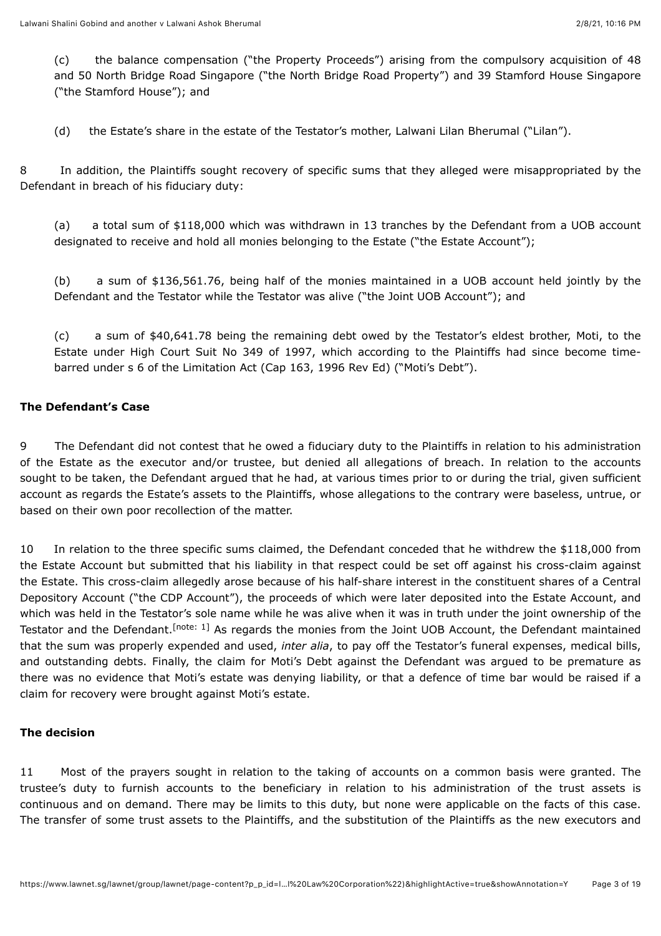(c) the balance compensation ("the Property Proceeds") arising from the compulsory acquisition of 48 and 50 North Bridge Road Singapore ("the North Bridge Road Property") and 39 Stamford House Singapore ("the Stamford House"); and

(d) the Estate's share in the estate of the Testator's mother, Lalwani Lilan Bherumal ("Lilan").

8 In addition, the Plaintiffs sought recovery of specific sums that they alleged were misappropriated by the Defendant in breach of his fiduciary duty:

(a) a total sum of \$118,000 which was withdrawn in 13 tranches by the Defendant from a UOB account designated to receive and hold all monies belonging to the Estate ("the Estate Account");

(b) a sum of \$136,561.76, being half of the monies maintained in a UOB account held jointly by the Defendant and the Testator while the Testator was alive ("the Joint UOB Account"); and

(c) a sum of \$40,641.78 being the remaining debt owed by the Testator's eldest brother, Moti, to the Estate under High Court Suit No 349 of 1997, which according to the Plaintiffs had since become timebarred under s 6 of the Limitation Act (Cap 163, 1996 Rev Ed) ("Moti's Debt").

## **The Defendant's Case**

9 The Defendant did not contest that he owed a fiduciary duty to the Plaintiffs in relation to his administration of the Estate as the executor and/or trustee, but denied all allegations of breach. In relation to the accounts sought to be taken, the Defendant argued that he had, at various times prior to or during the trial, given sufficient account as regards the Estate's assets to the Plaintiffs, whose allegations to the contrary were baseless, untrue, or based on their own poor recollection of the matter.

<span id="page-2-0"></span>10 In relation to the three specific sums claimed, the Defendant conceded that he withdrew the \$118,000 from the Estate Account but submitted that his liability in that respect could be set off against his cross-claim against the Estate. This cross-claim allegedly arose because of his half-share interest in the constituent shares of a Central Depository Account ("the CDP Account"), the proceeds of which were later deposited into the Estate Account, and which was held in the Testator's sole name while he was alive when it was in truth under the joint ownership of the Testator and the Defendant.<sup>[note: 1]</sup> As regards the monies from the Joint UOB Account, the Defendant maintained that the sum was properly expended and used, *inter alia*, to pay off the Testator's funeral expenses, medical bills, and outstanding debts. Finally, the claim for Moti's Debt against the Defendant was argued to be premature as there was no evidence that Moti's estate was denying liability, or that a defence of time bar would be raised if a claim for recovery were brought against Moti's estate.

## **The decision**

11 Most of the prayers sought in relation to the taking of accounts on a common basis were granted. The trustee's duty to furnish accounts to the beneficiary in relation to his administration of the trust assets is continuous and on demand. There may be limits to this duty, but none were applicable on the facts of this case. The transfer of some trust assets to the Plaintiffs, and the substitution of the Plaintiffs as the new executors and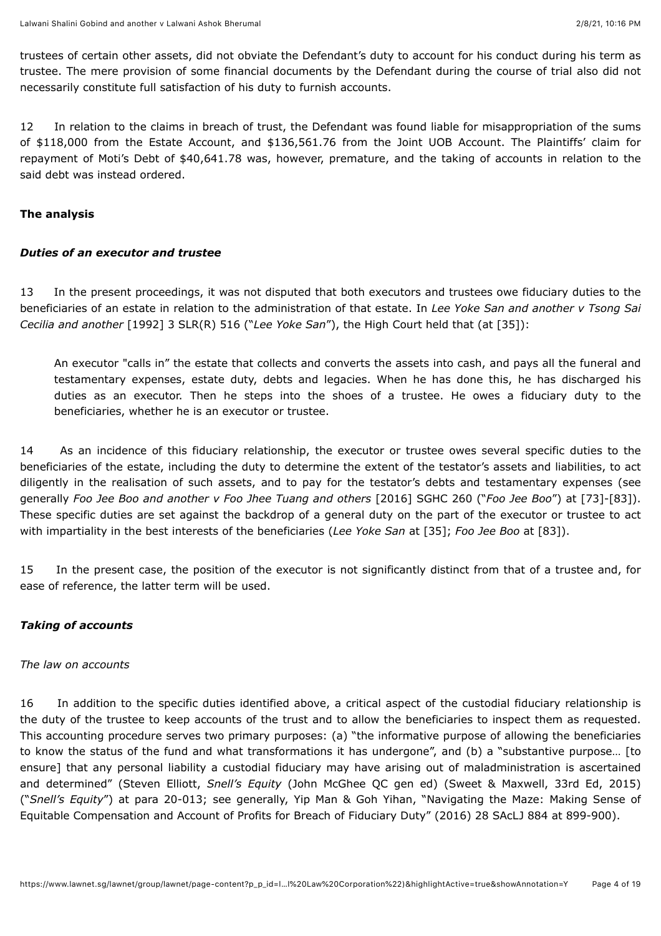trustees of certain other assets, did not obviate the Defendant's duty to account for his conduct during his term as trustee. The mere provision of some financial documents by the Defendant during the course of trial also did not necessarily constitute full satisfaction of his duty to furnish accounts.

12 In relation to the claims in breach of trust, the Defendant was found liable for misappropriation of the sums of \$118,000 from the Estate Account, and \$136,561.76 from the Joint UOB Account. The Plaintiffs' claim for repayment of Moti's Debt of \$40,641.78 was, however, premature, and the taking of accounts in relation to the said debt was instead ordered.

## **The analysis**

## *Duties of an executor and trustee*

13 In the present proceedings, it was not disputed that both executors and trustees owe fiduciary duties to the beneficiaries of an estate in relation to the administration of that estate. In *Lee Yoke San and another v Tsong Sai Cecilia and another* [\[1992\] 3 SLR\(R\) 516](javascript:viewPageContent() ("*Lee Yoke San*"), the High Court held that (at [35]):

An executor "calls in" the estate that collects and converts the assets into cash, and pays all the funeral and testamentary expenses, estate duty, debts and legacies. When he has done this, he has discharged his duties as an executor. Then he steps into the shoes of a trustee. He owes a fiduciary duty to the beneficiaries, whether he is an executor or trustee.

14 As an incidence of this fiduciary relationship, the executor or trustee owes several specific duties to the beneficiaries of the estate, including the duty to determine the extent of the testator's assets and liabilities, to act diligently in the realisation of such assets, and to pay for the testator's debts and testamentary expenses (see generally *Foo Jee Boo and another v Foo Jhee Tuang and others* [\[2016\] SGHC 260](javascript:viewPageContent() ("*Foo Jee Boo*") at [73]-[83]). These specific duties are set against the backdrop of a general duty on the part of the executor or trustee to act with impartiality in the best interests of the beneficiaries (*Lee Yoke San* at [35]; *Foo Jee Boo* at [83]).

15 In the present case, the position of the executor is not significantly distinct from that of a trustee and, for ease of reference, the latter term will be used.

## *Taking of accounts*

### *The law on accounts*

16 In addition to the specific duties identified above, a critical aspect of the custodial fiduciary relationship is the duty of the trustee to keep accounts of the trust and to allow the beneficiaries to inspect them as requested. This accounting procedure serves two primary purposes: (a) "the informative purpose of allowing the beneficiaries to know the status of the fund and what transformations it has undergone", and (b) a "substantive purpose… [to ensure] that any personal liability a custodial fiduciary may have arising out of maladministration is ascertained and determined" (Steven Elliott, *Snell's Equity* (John McGhee QC gen ed) (Sweet & Maxwell, 33rd Ed, 2015) ("*Snell's Equity*") at para 20-013; see generally, Yip Man & Goh Yihan, "Navigating the Maze: Making Sense of Equitable Compensation and Account of Profits for Breach of Fiduciary Duty" [\(2016\) 28 SAcLJ 884](javascript:viewPageContent() at 899-900).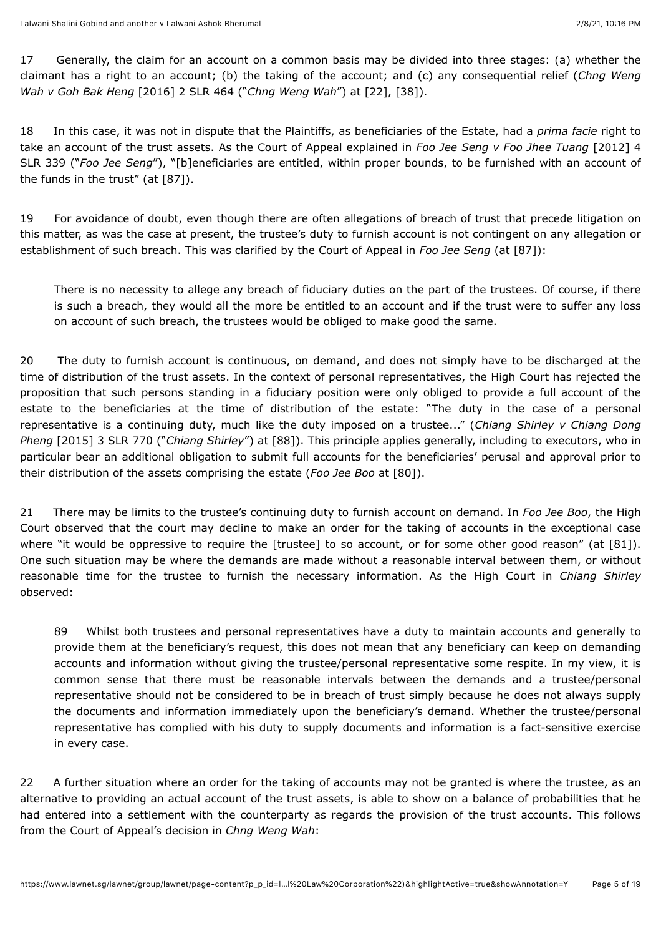17 Generally, the claim for an account on a common basis may be divided into three stages: (a) whether the claimant has a right to an account; (b) the taking of the account; and (c) any consequential relief (*Chng Weng Wah v Goh Bak Heng* [\[2016\] 2 SLR 464](javascript:viewPageContent() ("*Chng Weng Wah*") at [22], [38]).

18 In this case, it was not in dispute that the Plaintiffs, as beneficiaries of the Estate, had a *prima facie* right to take an account of the trust assets. As the Court of Appeal explained in *Foo Jee Seng v Foo Jhee Tuang* [2012] 4 SLR 339 ("*Foo Jee Seng*["\), "\[b\]eneficiaries are entitled, within proper bounds, to be furnished with an account of](javascript:viewPageContent() the funds in the trust" (at [87]).

19 For avoidance of doubt, even though there are often allegations of breach of trust that precede litigation on this matter, as was the case at present, the trustee's duty to furnish account is not contingent on any allegation or establishment of such breach. This was clarified by the Court of Appeal in *Foo Jee Seng* (at [87]):

There is no necessity to allege any breach of fiduciary duties on the part of the trustees. Of course, if there is such a breach, they would all the more be entitled to an account and if the trust were to suffer any loss on account of such breach, the trustees would be obliged to make good the same.

20 The duty to furnish account is continuous, on demand, and does not simply have to be discharged at the time of distribution of the trust assets. In the context of personal representatives, the High Court has rejected the proposition that such persons standing in a fiduciary position were only obliged to provide a full account of the estate to the beneficiaries at the time of distribution of the estate: "The duty in the case of a personal representative is a continuing duty, much like the duty imposed on a trustee..." (*Chiang Shirley v Chiang Dong Pheng* [\[2015\] 3 SLR 770](javascript:viewPageContent() ("*Chiang Shirley*") at [88]). This principle applies generally, including to executors, who in particular bear an additional obligation to submit full accounts for the beneficiaries' perusal and approval prior to their distribution of the assets comprising the estate (*Foo Jee Boo* at [80]).

21 There may be limits to the trustee's continuing duty to furnish account on demand. In *Foo Jee Boo*, the High Court observed that the court may decline to make an order for the taking of accounts in the exceptional case where "it would be oppressive to require the [trustee] to so account, or for some other good reason" (at [81]). One such situation may be where the demands are made without a reasonable interval between them, or without reasonable time for the trustee to furnish the necessary information. As the High Court in *Chiang Shirley* observed:

89 Whilst both trustees and personal representatives have a duty to maintain accounts and generally to provide them at the beneficiary's request, this does not mean that any beneficiary can keep on demanding accounts and information without giving the trustee/personal representative some respite. In my view, it is common sense that there must be reasonable intervals between the demands and a trustee/personal representative should not be considered to be in breach of trust simply because he does not always supply the documents and information immediately upon the beneficiary's demand. Whether the trustee/personal representative has complied with his duty to supply documents and information is a fact-sensitive exercise in every case.

22 A further situation where an order for the taking of accounts may not be granted is where the trustee, as an alternative to providing an actual account of the trust assets, is able to show on a balance of probabilities that he had entered into a settlement with the counterparty as regards the provision of the trust accounts. This follows from the Court of Appeal's decision in *Chng Weng Wah*: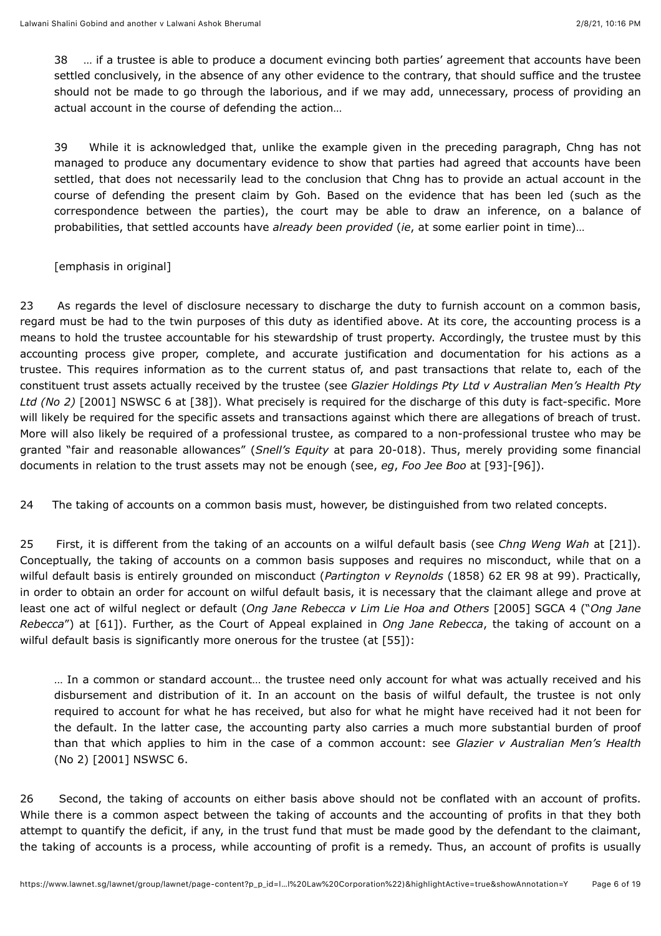38 … if a trustee is able to produce a document evincing both parties' agreement that accounts have been settled conclusively, in the absence of any other evidence to the contrary, that should suffice and the trustee should not be made to go through the laborious, and if we may add, unnecessary, process of providing an actual account in the course of defending the action…

39 While it is acknowledged that, unlike the example given in the preceding paragraph, Chng has not managed to produce any documentary evidence to show that parties had agreed that accounts have been settled, that does not necessarily lead to the conclusion that Chng has to provide an actual account in the course of defending the present claim by Goh. Based on the evidence that has been led (such as the correspondence between the parties), the court may be able to draw an inference, on a balance of probabilities, that settled accounts have *already been provided* (*ie*, at some earlier point in time)…

## [emphasis in original]

23 As regards the level of disclosure necessary to discharge the duty to furnish account on a common basis, regard must be had to the twin purposes of this duty as identified above. At its core, the accounting process is a means to hold the trustee accountable for his stewardship of trust property. Accordingly, the trustee must by this accounting process give proper, complete, and accurate justification and documentation for his actions as a trustee. This requires information as to the current status of, and past transactions that relate to, each of the constituent trust assets actually received by the trustee (see *Glazier Holdings Pty Ltd v Australian Men's Health Pty Ltd (No 2)* [\[2001\] NSWSC 6](javascript:viewPageContent() at [38]). What precisely is required for the discharge of this duty is fact-specific. More will likely be required for the specific assets and transactions against which there are allegations of breach of trust. More will also likely be required of a professional trustee, as compared to a non-professional trustee who may be granted "fair and reasonable allowances" (*Snell's Equity* at para 20-018). Thus, merely providing some financial documents in relation to the trust assets may not be enough (see, *eg*, *Foo Jee Boo* at [93]-[96]).

24 The taking of accounts on a common basis must, however, be distinguished from two related concepts.

25 First, it is different from the taking of an accounts on a wilful default basis (see *Chng Weng Wah* at [21]). Conceptually, the taking of accounts on a common basis supposes and requires no misconduct, while that on a wilful default basis is entirely grounded on misconduct (*Partington v Reynolds* (1858) 62 ER 98 at 99). Practically, in order to obtain an order for account on wilful default basis, it is necessary that the claimant allege and prove at least one act of wilful neglect or default (*Ong Jane Rebecca v Lim Lie Hoa and Others* [\[2005\] SGCA 4](javascript:viewPageContent() ("*Ong Jane Rebecca*") at [61]). Further, as the Court of Appeal explained in *Ong Jane Rebecca*, the taking of account on a wilful default basis is significantly more onerous for the trustee (at [55]):

… In a common or standard account… the trustee need only account for what was actually received and his disbursement and distribution of it. In an account on the basis of wilful default, the trustee is not only required to account for what he has received, but also for what he might have received had it not been for the default. In the latter case, the accounting party also carries a much more substantial burden of proof than that which applies to him in the case of a common account: see *Glazier v Australian Men's Health* (No 2) [\[2001\] NSWSC 6.](javascript:viewPageContent()

26 Second, the taking of accounts on either basis above should not be conflated with an account of profits. While there is a common aspect between the taking of accounts and the accounting of profits in that they both attempt to quantify the deficit, if any, in the trust fund that must be made good by the defendant to the claimant, the taking of accounts is a process, while accounting of profit is a remedy. Thus, an account of profits is usually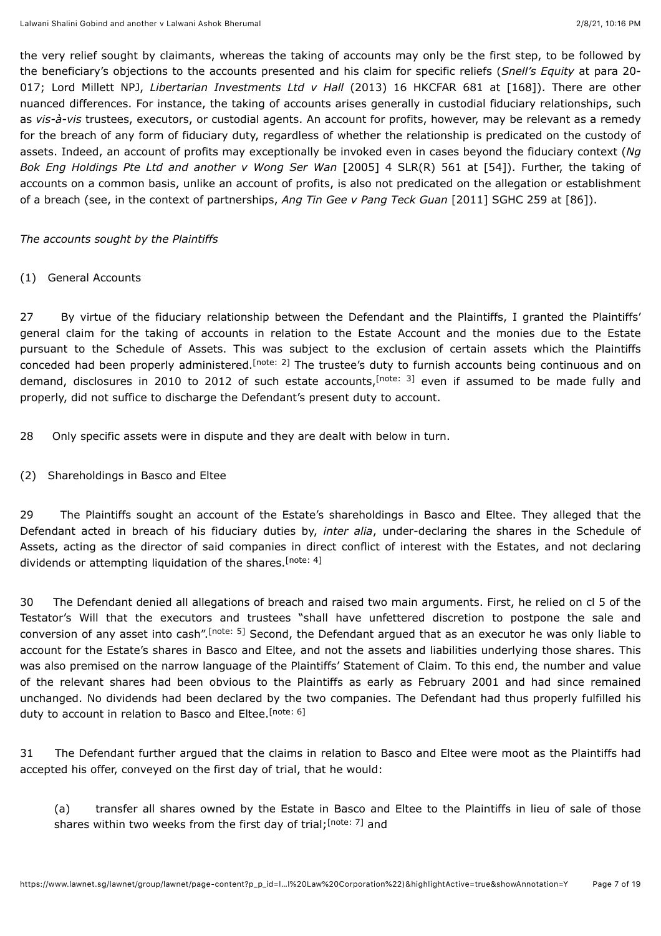the very relief sought by claimants, whereas the taking of accounts may only be the first step, to be followed by the beneficiary's objections to the accounts presented and his claim for specific reliefs (*Snell's Equity* at para 20- 017; Lord Millett NPJ, *Libertarian Investments Ltd v Hall* (2013) 16 HKCFAR 681 at [168]). There are other nuanced differences. For instance, the taking of accounts arises generally in custodial fiduciary relationships, such as *vis-à-vis* trustees, executors, or custodial agents. An account for profits, however, may be relevant as a remedy for the breach of any form of fiduciary duty, regardless of whether the relationship is predicated on the custody of assets. Indeed, an account of profits may exceptionally be invoked even in cases beyond the fiduciary context (*Ng Bok Eng Holdings Pte Ltd and another v Wong Ser Wan* [\[2005\] 4 SLR\(R\) 561](javascript:viewPageContent() at [54]). Further, the taking of accounts on a common basis, unlike an account of profits, is also not predicated on the allegation or establishment of a breach (see, in the context of partnerships, *Ang Tin Gee v Pang Teck Guan* [\[2011\] SGHC 259](javascript:viewPageContent() at [86]).

#### *The accounts sought by the Plaintiffs*

#### (1) General Accounts

<span id="page-6-1"></span><span id="page-6-0"></span>27 By virtue of the fiduciary relationship between the Defendant and the Plaintiffs, I granted the Plaintiffs' general claim for the taking of accounts in relation to the Estate Account and the monies due to the Estate pursuant to the Schedule of Assets. This was subject to the exclusion of certain assets which the Plaintiffs conceded had been properly administered[.](#page-16-1)<sup>[note: 2]</sup> The trustee's duty to furnish accounts being continuous and on demand[,](#page-16-2) disclosures in 2010 to 2012 of such estate accounts, <sup>[note: 3]</sup> even if assumed to be made fully and properly, did not suffice to discharge the Defendant's present duty to account.

28 Only specific assets were in dispute and they are dealt with below in turn.

(2) Shareholdings in Basco and Eltee

<span id="page-6-2"></span>29 The Plaintiffs sought an account of the Estate's shareholdings in Basco and Eltee. They alleged that the Defendant acted in breach of his fiduciary duties by, *inter alia*, under-declaring the shares in the Schedule of Assets, acting as the director of said companies in direct conflict of interest with the Estates, and not declaring dividends or attempting liquidation of the shares.<sup>[\[note: 4\]](#page-16-3)</sup>

<span id="page-6-3"></span>30 The Defendant denied all allegations of breach and raised two main arguments. First, he relied on cl 5 of the Testator's Will that the executors and trustees "shall have unfettered discretion to postpone the sale and conversionof any asset into cash".<sup>[note: 5]</sup> Second, the Defendant argued that as an executor he was only liable to account for the Estate's shares in Basco and Eltee, and not the assets and liabilities underlying those shares. This was also premised on the narrow language of the Plaintiffs' Statement of Claim. To this end, the number and value of the relevant shares had been obvious to the Plaintiffs as early as February 2001 and had since remained unchanged. No dividends had been declared by the two companies. The Defendant had thus properly fulfilled his duty to account in relation to Basco and Eltee.<sup>[\[note: 6\]](#page-16-5)</sup>

31 The Defendant further argued that the claims in relation to Basco and Eltee were moot as the Plaintiffs had accepted his offer, conveyed on the first day of trial, that he would:

<span id="page-6-5"></span><span id="page-6-4"></span>(a) transfer all shares owned by the Estate in Basco and Eltee to the Plaintiffs in lieu of sale of those shares within two weeks from the first day of trial[;](#page-16-6)<sup>[note: 7]</sup> and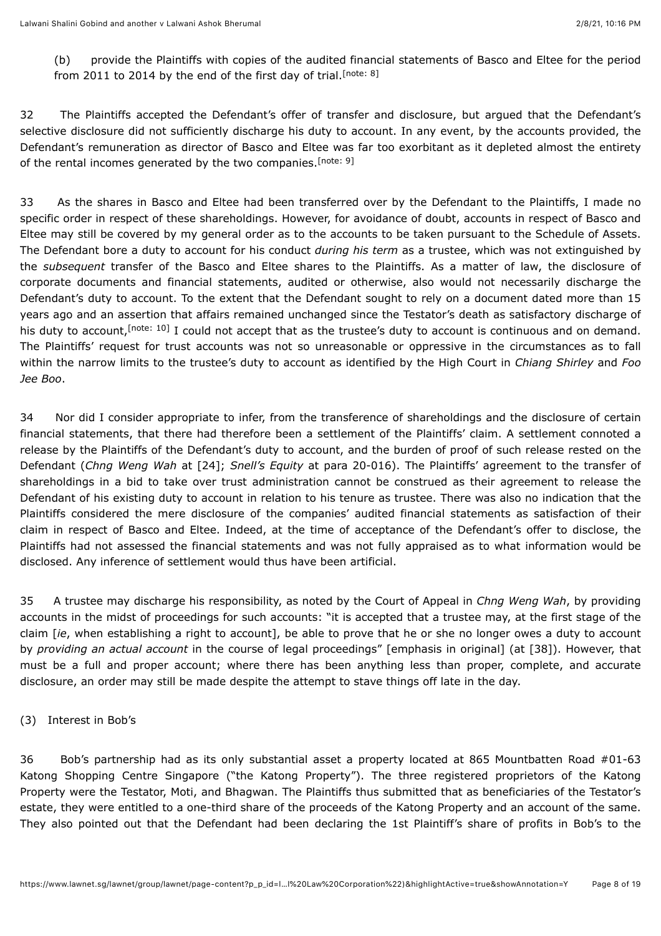<span id="page-7-1"></span><span id="page-7-0"></span>(b) provide the Plaintiffs with copies of the audited financial statements of Basco and Eltee for the period from 2011 to 2014 by the end of the first day of trial.<sup>[\[note: 8\]](#page-16-7)</sup>

32 The Plaintiffs accepted the Defendant's offer of transfer and disclosure, but argued that the Defendant's selective disclosure did not sufficiently discharge his duty to account. In any event, by the accounts provided, the Defendant's remuneration as director of Basco and Eltee was far too exorbitant as it depleted almost the entirety of the rental incomes generated by the two companies.<sup>[\[note: 9\]](#page-16-8)</sup>

33 As the shares in Basco and Eltee had been transferred over by the Defendant to the Plaintiffs, I made no specific order in respect of these shareholdings. However, for avoidance of doubt, accounts in respect of Basco and Eltee may still be covered by my general order as to the accounts to be taken pursuant to the Schedule of Assets. The Defendant bore a duty to account for his conduct *during his term* as a trustee, which was not extinguished by the *subsequent* transfer of the Basco and Eltee shares to the Plaintiffs. As a matter of law, the disclosure of corporate documents and financial statements, audited or otherwise, also would not necessarily discharge the Defendant's duty to account. To the extent that the Defendant sought to rely on a document dated more than 15 years ago and an assertion that affairs remained unchanged since the Testator's death as satisfactory discharge of his duty to account[,](#page-16-9) <sup>[note: 10]</sup> I could not accept that as the trustee's duty to account is continuous and on demand. The Plaintiffs' request for trust accounts was not so unreasonable or oppressive in the circumstances as to fall within the narrow limits to the trustee's duty to account as identified by the High Court in *Chiang Shirley* and *Foo Jee Boo*.

<span id="page-7-2"></span>34 Nor did I consider appropriate to infer, from the transference of shareholdings and the disclosure of certain financial statements, that there had therefore been a settlement of the Plaintiffs' claim. A settlement connoted a release by the Plaintiffs of the Defendant's duty to account, and the burden of proof of such release rested on the Defendant (*Chng Weng Wah* at [24]; *Snell's Equity* at para 20-016). The Plaintiffs' agreement to the transfer of shareholdings in a bid to take over trust administration cannot be construed as their agreement to release the Defendant of his existing duty to account in relation to his tenure as trustee. There was also no indication that the Plaintiffs considered the mere disclosure of the companies' audited financial statements as satisfaction of their claim in respect of Basco and Eltee. Indeed, at the time of acceptance of the Defendant's offer to disclose, the Plaintiffs had not assessed the financial statements and was not fully appraised as to what information would be disclosed. Any inference of settlement would thus have been artificial.

35 A trustee may discharge his responsibility, as noted by the Court of Appeal in *Chng Weng Wah*, by providing accounts in the midst of proceedings for such accounts: "it is accepted that a trustee may, at the first stage of the claim [*ie*, when establishing a right to account], be able to prove that he or she no longer owes a duty to account by *providing an actual account* in the course of legal proceedings" [emphasis in original] (at [38]). However, that must be a full and proper account; where there has been anything less than proper, complete, and accurate disclosure, an order may still be made despite the attempt to stave things off late in the day.

## (3) Interest in Bob's

36 Bob's partnership had as its only substantial asset a property located at 865 Mountbatten Road #01-63 Katong Shopping Centre Singapore ("the Katong Property"). The three registered proprietors of the Katong Property were the Testator, Moti, and Bhagwan. The Plaintiffs thus submitted that as beneficiaries of the Testator's estate, they were entitled to a one-third share of the proceeds of the Katong Property and an account of the same. They also pointed out that the Defendant had been declaring the 1st Plaintiff's share of profits in Bob's to the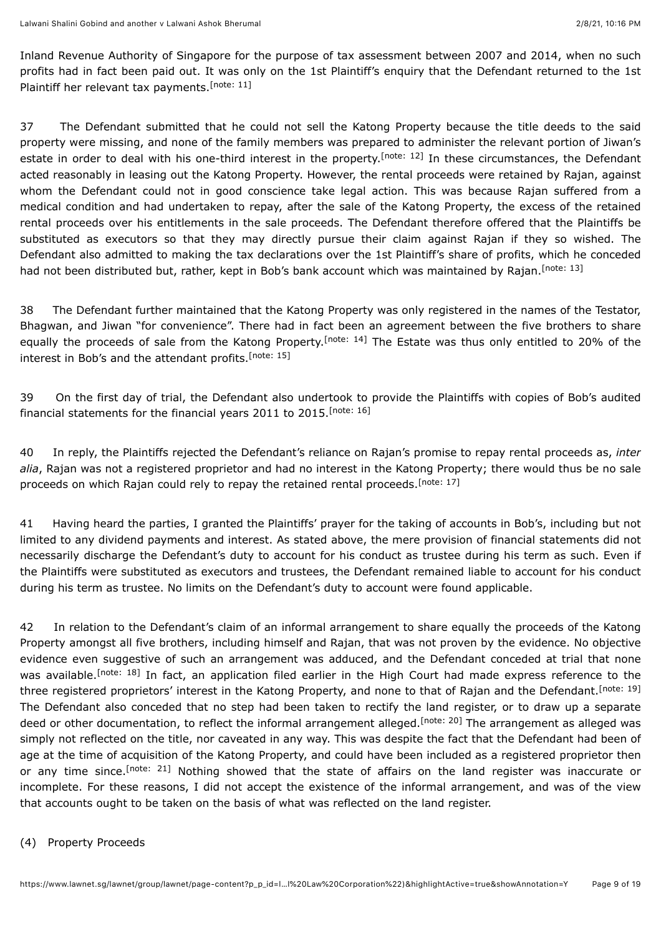<span id="page-8-0"></span>Inland Revenue Authority of Singapore for the purpose of tax assessment between 2007 and 2014, when no such profits had in fact been paid out. It was only on the 1st Plaintiff's enquiry that the Defendant returned to the 1st Plaintiff her relevant tax payments.<sup>[\[note: 11\]](#page-16-10)</sup>

<span id="page-8-1"></span>37 The Defendant submitted that he could not sell the Katong Property because the title deeds to the said property were missing, and none of the family members was prepared to administer the relevant portion of Jiwan's estate in order to deal with his one-third interest in the property.<sup>[note: 12]</sup> In these circumstances, the Defendant acted reasonably in leasing out the Katong Property. However, the rental proceeds were retained by Rajan, against whom the Defendant could not in good conscience take legal action. This was because Rajan suffered from a medical condition and had undertaken to repay, after the sale of the Katong Property, the excess of the retained rental proceeds over his entitlements in the sale proceeds. The Defendant therefore offered that the Plaintiffs be substituted as executors so that they may directly pursue their claim against Rajan if they so wished. The Defendant also admitted to making the tax declarations over the 1st Plaintiff's share of profits, which he conceded had not been distributed but, rather, kept in Bob's bank account which was maintained by Rajan.<sup>[\[note: 13\]](#page-16-12)</sup>

<span id="page-8-4"></span><span id="page-8-3"></span><span id="page-8-2"></span>38 The Defendant further maintained that the Katong Property was only registered in the names of the Testator, Bhagwan, and Jiwan "for convenience". There had in fact been an agreement between the five brothers to share equallythe proceeds of sale from the Katong Property.<sup>[note: 14]</sup> The Estate was thus only entitled to 20% of the interest in Bob's and the attendant profits.<sup>[\[note: 15\]](#page-16-14)</sup>

<span id="page-8-5"></span>39 On the first day of trial, the Defendant also undertook to provide the Plaintiffs with copies of Bob's audited financial statements for the financial years 2011 to 2015.<sup>[\[note: 16\]](#page-16-15)</sup>

<span id="page-8-6"></span>40 In reply, the Plaintiffs rejected the Defendant's reliance on Rajan's promise to repay rental proceeds as, *inter alia*, Rajan was not a registered proprietor and had no interest in the Katong Property; there would thus be no sale proceeds on which Rajan could rely to repay the retained rental proceeds.<sup>[\[note: 17\]](#page-16-16)</sup>

41 Having heard the parties, I granted the Plaintiffs' prayer for the taking of accounts in Bob's, including but not limited to any dividend payments and interest. As stated above, the mere provision of financial statements did not necessarily discharge the Defendant's duty to account for his conduct as trustee during his term as such. Even if the Plaintiffs were substituted as executors and trustees, the Defendant remained liable to account for his conduct during his term as trustee. No limits on the Defendant's duty to account were found applicable.

<span id="page-8-9"></span><span id="page-8-8"></span><span id="page-8-7"></span>42 In relation to the Defendant's claim of an informal arrangement to share equally the proceeds of the Katong Property amongst all five brothers, including himself and Rajan, that was not proven by the evidence. No objective evidence even suggestive of such an arrangement was adduced, and the Defendant conceded at trial that none was available[.](#page-16-17)<sup>[note: 18]</sup> In fact, an application filed earlier in the High Court had made express reference to the three registered proprietors' interest in the Katong Property, and none to that of Rajan and the Defendant.<sup>[\[note: 19\]](#page-16-18)</sup> The Defendant also conceded that no step had been taken to rectify the land register, or to draw up a separate deed or other documentation, to reflect the informal arrangement alleged.<sup>[note: 20]</sup> The arrangement as alleged was simply not reflected on the title, nor caveated in any way. This was despite the fact that the Defendant had been of age at the time of acquisition of the Katong Property, and could have been included as a registered proprietor then orany time since.<sup>[note: 21]</sup> Nothing showed that the state of affairs on the land register was inaccurate or incomplete. For these reasons, I did not accept the existence of the informal arrangement, and was of the view that accounts ought to be taken on the basis of what was reflected on the land register.

#### <span id="page-8-10"></span>(4) Property Proceeds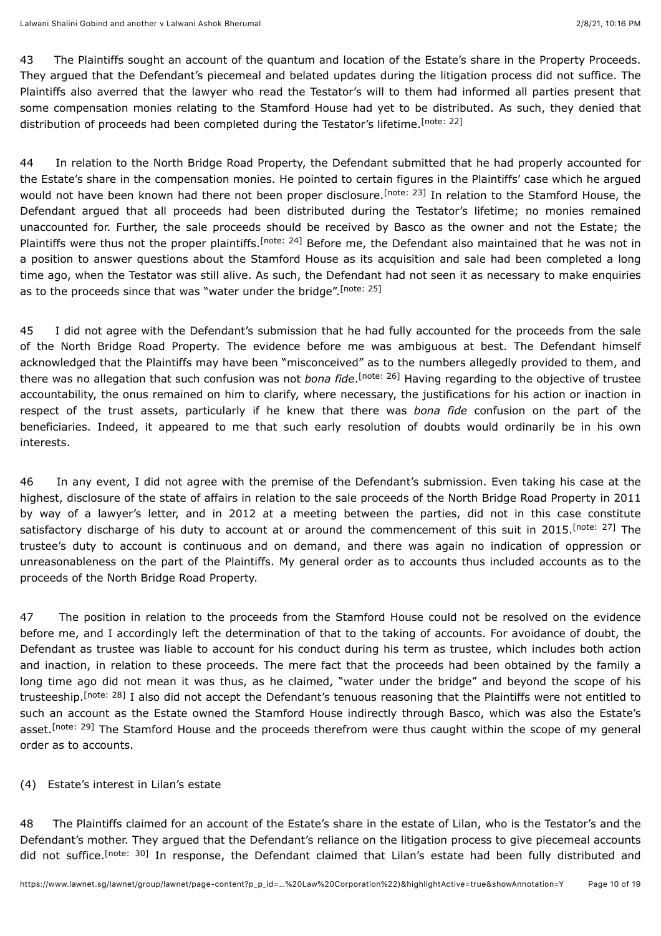43 The Plaintiffs sought an account of the quantum and location of the Estate's share in the Property Proceeds. They argued that the Defendant's piecemeal and belated updates during the litigation process did not suffice. The Plaintiffs also averred that the lawyer who read the Testator's will to them had informed all parties present that some compensation monies relating to the Stamford House had yet to be distributed. As such, they denied that distribution of proceeds had been completed during the Testator's lifetime.<sup>[\[note: 22\]](#page-16-21)</sup>

<span id="page-9-2"></span><span id="page-9-1"></span><span id="page-9-0"></span>44 In relation to the North Bridge Road Property, the Defendant submitted that he had properly accounted for the Estate's share in the compensation monies. He pointed to certain figures in the Plaintiffs' case which he argued wouldnot have been known had there not been proper disclosure.<sup>[note: 23]</sup> In relation to the Stamford House, the Defendant argued that all proceeds had been distributed during the Testator's lifetime; no monies remained unaccounted for. Further, the sale proceeds should be received by Basco as the owner and not the Estate; the Plaintiffs were thus not the proper plaintiffs[.](#page-16-23)<sup>[note: 24]</sup> Before me, the Defendant also maintained that he was not in a position to answer questions about the Stamford House as its acquisition and sale had been completed a long time ago, when the Testator was still alive. As such, the Defendant had not seen it as necessary to make enquiries as to the proceeds since that was "water under the bridge".<sup>[\[note: 25\]](#page-16-24)</sup>

<span id="page-9-4"></span><span id="page-9-3"></span>45 I did not agree with the Defendant's submission that he had fully accounted for the proceeds from the sale of the North Bridge Road Property. The evidence before me was ambiguous at best. The Defendant himself acknowledged that the Plaintiffs may have been "misconceived" as to the numbers allegedly provided to them, and there was no allegation that such confusion was not *bona fide*.<sup>[note: 26]</sup> Having regarding to the objective of trustee accountability, the onus remained on him to clarify, where necessary, the justifications for his action or inaction in respect of the trust assets, particularly if he knew that there was *bona fide* confusion on the part of the beneficiaries. Indeed, it appeared to me that such early resolution of doubts would ordinarily be in his own interests.

<span id="page-9-5"></span>46 In any event, I did not agree with the premise of the Defendant's submission. Even taking his case at the highest, disclosure of the state of affairs in relation to the sale proceeds of the North Bridge Road Property in 2011 by way of a lawyer's letter, and in 2012 at a meeting between the parties, did not in this case constitute satisfactory discharge of his duty to account at or around the commencement of this suit in 2015[.](#page-17-1) [note: 27] The trustee's duty to account is continuous and on demand, and there was again no indication of oppression or unreasonableness on the part of the Plaintiffs. My general order as to accounts thus included accounts as to the proceeds of the North Bridge Road Property.

<span id="page-9-6"></span>47 The position in relation to the proceeds from the Stamford House could not be resolved on the evidence before me, and I accordingly left the determination of that to the taking of accounts. For avoidance of doubt, the Defendant as trustee was liable to account for his conduct during his term as trustee, which includes both action and inaction, in relation to these proceeds. The mere fact that the proceeds had been obtained by the family a long time ago did not mean it was thus, as he claimed, "water under the bridge" and beyond the scope of his trusteeship[.](#page-17-2)<sup>[note: 28]</sup> I also did not accept the Defendant's tenuous reasoning that the Plaintiffs were not entitled to such an account as the Estate owned the Stamford House indirectly through Basco, which was also the Estate's asset.<sup>[note: 29]</sup> The Stamford House and the proceeds therefrom were thus caught within the scope of my general order as to accounts.

## <span id="page-9-7"></span>(4) Estate's interest in Lilan's estate

<span id="page-9-8"></span>48 The Plaintiffs claimed for an account of the Estate's share in the estate of Lilan, who is the Testator's and the Defendant's mother. They argued that the Defendant's reliance on the litigation process to give piecemeal accounts did not suffice[.](#page-17-4)<sup>[note: 30]</sup> In response, the Defendant claimed that Lilan's estate had been fully distributed and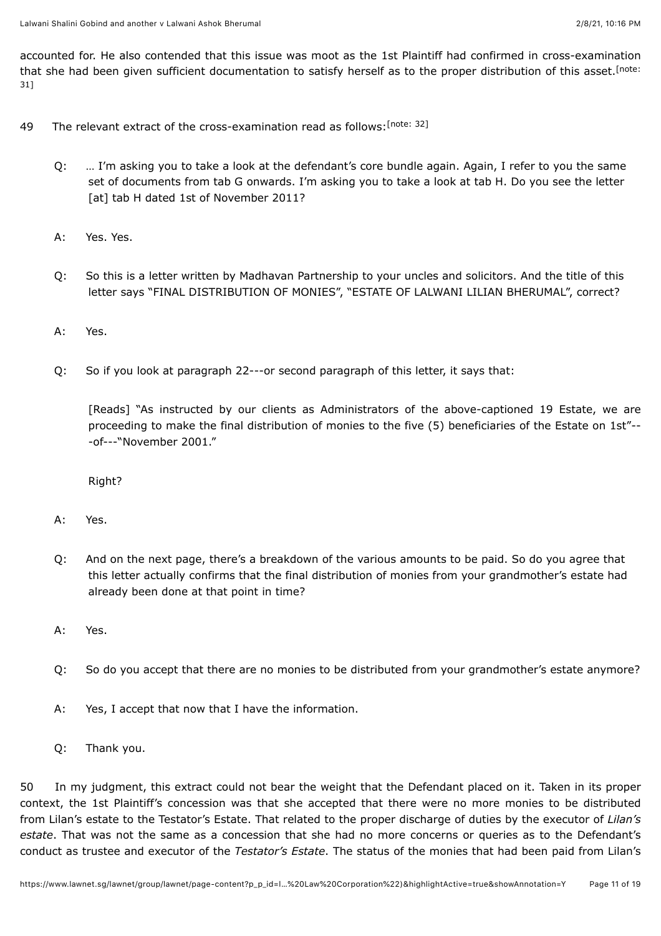<span id="page-10-0"></span>accounted for. He also contended that this issue was moot as the 1st Plaintiff had confirmed in cross-examination [that she had been given sufficient documentation to satisfy herself as to the proper distribution of this asset.](#page-17-5)<sup>[note:</sup> 31]

- <span id="page-10-1"></span>49 The relevant extract of the cross-examination read as follows: [\[note: 32\]](#page-17-6)
	- Q: … I'm asking you to take a look at the defendant's core bundle again. Again, I refer to you the same set of documents from tab G onwards. I'm asking you to take a look at tab H. Do you see the letter [at] tab H dated 1st of November 2011?
	- A: Yes. Yes.
	- Q: So this is a letter written by Madhavan Partnership to your uncles and solicitors. And the title of this letter says "FINAL DISTRIBUTION OF MONIES", "ESTATE OF LALWANI LILIAN BHERUMAL", correct?
	- A: Yes.
	- $O:$ So if you look at paragraph 22---or second paragraph of this letter, it says that:

[Reads] "As instructed by our clients as Administrators of the above-captioned 19 Estate, we are proceeding to make the final distribution of monies to the five (5) beneficiaries of the Estate on 1st"-- -of---"November 2001."

Right?

- A: Yes.
- Q: And on the next page, there's a breakdown of the various amounts to be paid. So do you agree that this letter actually confirms that the final distribution of monies from your grandmother's estate had already been done at that point in time?
- A: Yes.
- Q: So do you accept that there are no monies to be distributed from your grandmother's estate anymore?
- A: Yes, I accept that now that I have the information.
- Q: Thank you.

50 In my judgment, this extract could not bear the weight that the Defendant placed on it. Taken in its proper context, the 1st Plaintiff's concession was that she accepted that there were no more monies to be distributed from Lilan's estate to the Testator's Estate. That related to the proper discharge of duties by the executor of *Lilan's estate*. That was not the same as a concession that she had no more concerns or queries as to the Defendant's conduct as trustee and executor of the *Testator's Estate*. The status of the monies that had been paid from Lilan's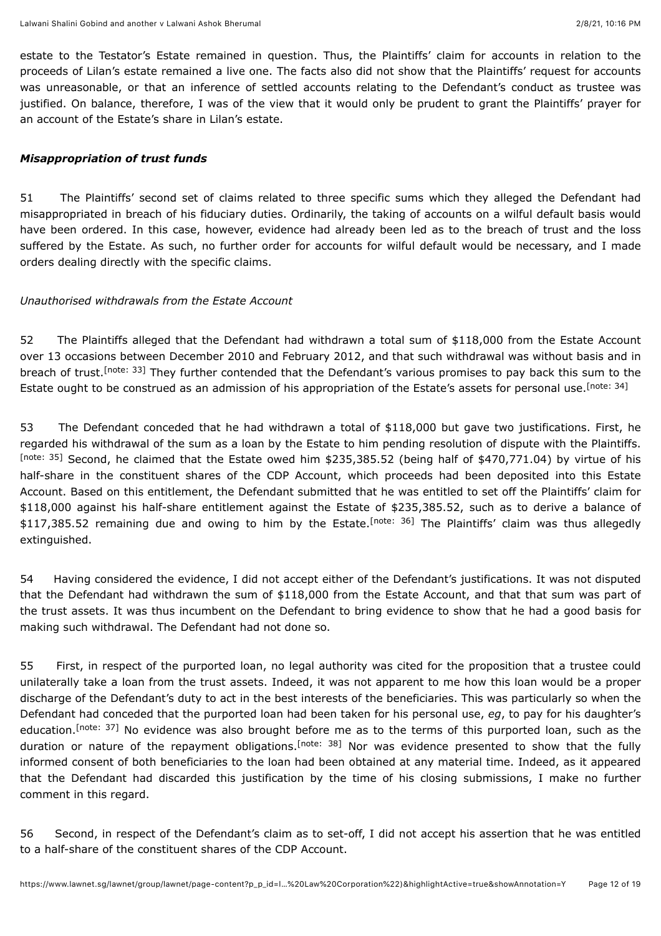estate to the Testator's Estate remained in question. Thus, the Plaintiffs' claim for accounts in relation to the proceeds of Lilan's estate remained a live one. The facts also did not show that the Plaintiffs' request for accounts was unreasonable, or that an inference of settled accounts relating to the Defendant's conduct as trustee was justified. On balance, therefore, I was of the view that it would only be prudent to grant the Plaintiffs' prayer for an account of the Estate's share in Lilan's estate.

## *Misappropriation of trust funds*

51 The Plaintiffs' second set of claims related to three specific sums which they alleged the Defendant had misappropriated in breach of his fiduciary duties. Ordinarily, the taking of accounts on a wilful default basis would have been ordered. In this case, however, evidence had already been led as to the breach of trust and the loss suffered by the Estate. As such, no further order for accounts for wilful default would be necessary, and I made orders dealing directly with the specific claims.

#### *Unauthorised withdrawals from the Estate Account*

<span id="page-11-1"></span><span id="page-11-0"></span>52 The Plaintiffs alleged that the Defendant had withdrawn a total sum of \$118,000 from the Estate Account over 13 occasions between December 2010 and February 2012, and that such withdrawal was without basis and in breach of trust.<sup>[note: 33]</sup> They further contended that the Defendant's various promises to pay back this sum to the Estate ought to be construed as an admission of his appropriation of the Estate's assets for personal use. [\[note: 34\]](#page-17-8)

<span id="page-11-2"></span>53 The Defendant conceded that he had withdrawn a total of \$118,000 but gave two justifications. First, he regarded his withdrawal of the sum as a loan by the Estate to him pending resolution of dispute with the Plaintiffs. [\[note: 35\]](#page-17-9) Second, he claimed that the Estate owed him \$235,385.52 (being half of \$470,771.04) by virtue of his half-share in the constituent shares of the CDP Account, which proceeds had been deposited into this Estate Account. Based on this entitlement, the Defendant submitted that he was entitled to set off the Plaintiffs' claim for \$118,000 against his half-share entitlement against the Estate of \$235,385.52, such as to derive a balance of \$117,385[.](#page-17-10)52 remaining due and owing to him by the Estate.<sup>[note: 36]</sup> The Plaintiffs' claim was thus allegedly extinguished.

<span id="page-11-3"></span>54 Having considered the evidence, I did not accept either of the Defendant's justifications. It was not disputed that the Defendant had withdrawn the sum of \$118,000 from the Estate Account, and that that sum was part of the trust assets. It was thus incumbent on the Defendant to bring evidence to show that he had a good basis for making such withdrawal. The Defendant had not done so.

<span id="page-11-5"></span><span id="page-11-4"></span>55 First, in respect of the purported loan, no legal authority was cited for the proposition that a trustee could unilaterally take a loan from the trust assets. Indeed, it was not apparent to me how this loan would be a proper discharge of the Defendant's duty to act in the best interests of the beneficiaries. This was particularly so when the Defendant had conceded that the purported loan had been taken for his personal use, *eg*, to pay for his daughter's education[.](#page-17-11)<sup>[note: 37]</sup> No evidence was also brought before me as to the terms of this purported loan, such as the durationor nature of the repayment obligations.<sup>[note: 38]</sup> Nor was evidence presented to show that the fully informed consent of both beneficiaries to the loan had been obtained at any material time. Indeed, as it appeared that the Defendant had discarded this justification by the time of his closing submissions, I make no further comment in this regard.

56 Second, in respect of the Defendant's claim as to set-off, I did not accept his assertion that he was entitled to a half-share of the constituent shares of the CDP Account.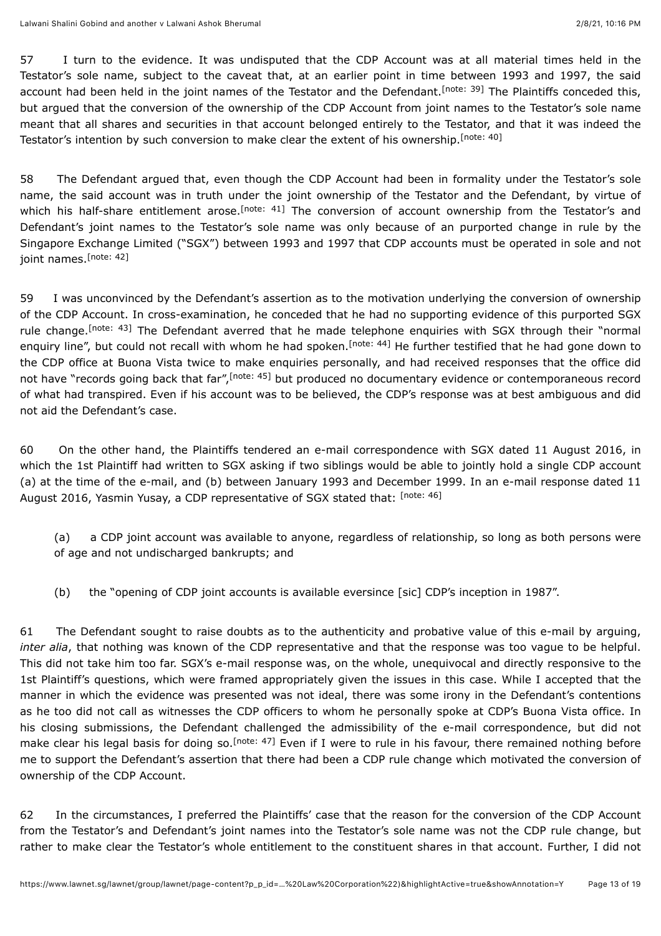<span id="page-12-0"></span>57 I turn to the evidence. It was undisputed that the CDP Account was at all material times held in the Testator's sole name, subject to the caveat that, at an earlier point in time between 1993 and 1997, the said accounthad been held in the joint names of the Testator and the Defendant.<sup>[note: 39]</sup> The Plaintiffs conceded this, but argued that the conversion of the ownership of the CDP Account from joint names to the Testator's sole name meant that all shares and securities in that account belonged entirely to the Testator, and that it was indeed the Testator's intention by such conversion to make clear the extent of his ownership.<sup>[\[note: 40\]](#page-17-14)</sup>

<span id="page-12-2"></span><span id="page-12-1"></span>58 The Defendant argued that, even though the CDP Account had been in formality under the Testator's sole name, the said account was in truth under the joint ownership of the Testator and the Defendant, by virtue of whichhis half-share entitlement arose.<sup>[note: 41]</sup> The conversion of account ownership from the Testator's and Defendant's joint names to the Testator's sole name was only because of an purported change in rule by the Singapore Exchange Limited ("SGX") between 1993 and 1997 that CDP accounts must be operated in sole and not joint names.<sup>[\[note: 42\]](#page-17-16)</sup>

<span id="page-12-5"></span><span id="page-12-4"></span><span id="page-12-3"></span>59 I was unconvinced by the Defendant's assertion as to the motivation underlying the conversion of ownership of the CDP Account. In cross-examination, he conceded that he had no supporting evidence of this purported SGX rulechange.<sup>[note: 43]</sup> The Defendant averred that he made telephone enquiries with SGX through their "normal enquiryline", but could not recall with whom he had spoken.<sup>[note: 44]</sup> He further testified that he had gone down to the CDP office at Buona Vista twice to make enquiries personally, and had received responses that the office did not have "records going back that far"[,](#page-17-19)<sup>[note: 45]</sup> but produced no documentary evidence or contemporaneous record of what had transpired. Even if his account was to be believed, the CDP's response was at best ambiguous and did not aid the Defendant's case.

<span id="page-12-6"></span>60 On the other hand, the Plaintiffs tendered an e-mail correspondence with SGX dated 11 August 2016, in which the 1st Plaintiff had written to SGX asking if two siblings would be able to jointly hold a single CDP account (a) at the time of the e-mail, and (b) between January 1993 and December 1999. In an e-mail response dated 11 August 2016, Yasmin Yusay, a CDP representative of SGX stated that: [\[note: 46\]](#page-17-20)

- <span id="page-12-7"></span>(a) a CDP joint account was available to anyone, regardless of relationship, so long as both persons were of age and not undischarged bankrupts; and
- (b) the "opening of CDP joint accounts is available eversince [sic] CDP's inception in 1987".

61 The Defendant sought to raise doubts as to the authenticity and probative value of this e-mail by arguing, *inter alia*, that nothing was known of the CDP representative and that the response was too vague to be helpful. This did not take him too far. SGX's e-mail response was, on the whole, unequivocal and directly responsive to the 1st Plaintiff's questions, which were framed appropriately given the issues in this case. While I accepted that the manner in which the evidence was presented was not ideal, there was some irony in the Defendant's contentions as he too did not call as witnesses the CDP officers to whom he personally spoke at CDP's Buona Vista office. In his closing submissions, the Defendant challenged the admissibility of the e-mail correspondence, but did not makeclear his legal basis for doing so.<sup>[note: 47]</sup> Even if I were to rule in his favour, there remained nothing before me to support the Defendant's assertion that there had been a CDP rule change which motivated the conversion of ownership of the CDP Account.

<span id="page-12-8"></span>62 In the circumstances, I preferred the Plaintiffs' case that the reason for the conversion of the CDP Account from the Testator's and Defendant's joint names into the Testator's sole name was not the CDP rule change, but rather to make clear the Testator's whole entitlement to the constituent shares in that account. Further, I did not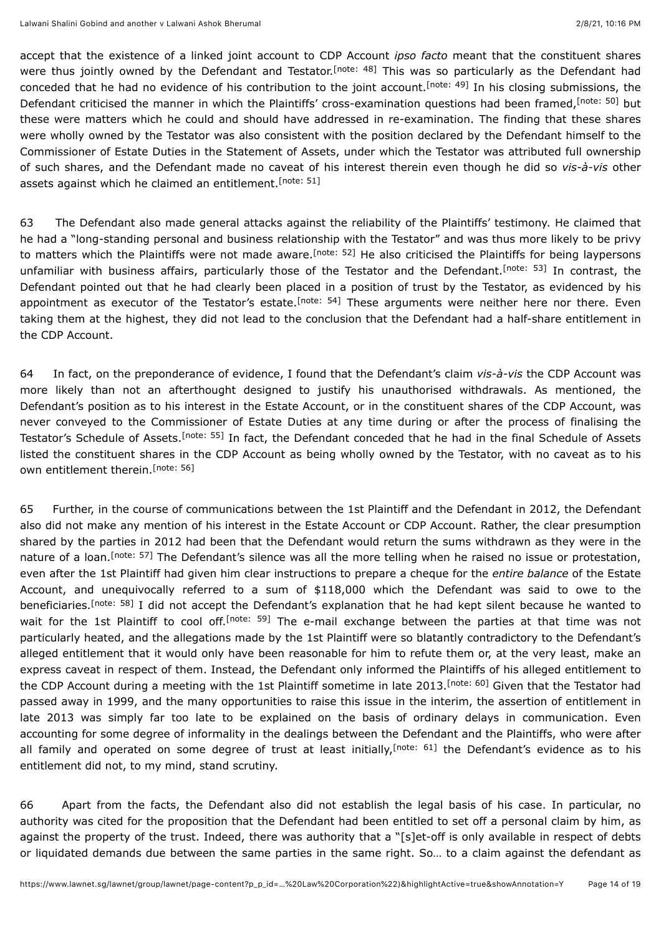<span id="page-13-2"></span><span id="page-13-1"></span><span id="page-13-0"></span>accept that the existence of a linked joint account to CDP Account *ipso facto* meant that the constituent shares were thus jointly owned by the Defendant and Testator[.](#page-17-22)<sup>[note: 48]</sup> This was so particularly as the Defendant had conceded that he had no evidence of his contribution to the joint account.<sup>[note: 49]</sup> In his closing submissions, the Defendant criticised the manner in which the Plaintiffs' cross-examination questions had been framed[,](#page-17-24) [note: 50] but these were matters which he could and should have addressed in re-examination. The finding that these shares were wholly owned by the Testator was also consistent with the position declared by the Defendant himself to the Commissioner of Estate Duties in the Statement of Assets, under which the Testator was attributed full ownership of such shares, and the Defendant made no caveat of his interest therein even though he did so *vis-à-vis* other assets against which he claimed an entitlement.<sup>[\[note: 51\]](#page-17-25)</sup>

<span id="page-13-6"></span><span id="page-13-5"></span><span id="page-13-4"></span><span id="page-13-3"></span>63 The Defendant also made general attacks against the reliability of the Plaintiffs' testimony. He claimed that he had a "long-standing personal and business relationship with the Testator" and was thus more likely to be privy to matters which the Plaintiffs were not made aware.<sup>[note: 52]</sup> He also criticised the Plaintiffs for being laypersons unfamiliar with business affairs, particularly those of the Testator and the Defendant.<sup>[note: 53]</sup> In contrast, the Defendant pointed out that he had clearly been placed in a position of trust by the Testator, as evidenced by his appointment as executor of the Testator's estate.<sup>[note: 54]</sup> These arguments were neither here nor there. Even taking them at the highest, they did not lead to the conclusion that the Defendant had a half-share entitlement in the CDP Account.

<span id="page-13-7"></span>64 In fact, on the preponderance of evidence, I found that the Defendant's claim *vis-à-vis* the CDP Account was more likely than not an afterthought designed to justify his unauthorised withdrawals. As mentioned, the Defendant's position as to his interest in the Estate Account, or in the constituent shares of the CDP Account, was never conveyed to the Commissioner of Estate Duties at any time during or after the process of finalising the Testator'sSchedule of Assets.<sup>[note: 55]</sup> In fact, the Defendant conceded that he had in the final Schedule of Assets listed the constituent shares in the CDP Account as being wholly owned by the Testator, with no caveat as to his own entitlement therein.<sup>[\[note: 56\]](#page-17-30)</sup>

<span id="page-13-11"></span><span id="page-13-10"></span><span id="page-13-9"></span><span id="page-13-8"></span>65 Further, in the course of communications between the 1st Plaintiff and the Defendant in 2012, the Defendant also did not make any mention of his interest in the Estate Account or CDP Account. Rather, the clear presumption shared by the parties in 2012 had been that the Defendant would return the sums withdrawn as they were in the natureof a loan.<sup>[note: 57]</sup> The Defendant's silence was all the more telling when he raised no issue or protestation, even after the 1st Plaintiff had given him clear instructions to prepare a cheque for the *entire balance* of the Estate Account, and unequivocally referred to a sum of \$118,000 which the Defendant was said to owe to the beneficiaries.<sup>[note: 58]</sup> I did not accept the Defendant's explanation that he had kept silent because he wanted to waitfor the 1st Plaintiff to cool off.<sup>[note: 59]</sup> The e-mail exchange between the parties at that time was not particularly heated, and the allegations made by the 1st Plaintiff were so blatantly contradictory to the Defendant's alleged entitlement that it would only have been reasonable for him to refute them or, at the very least, make an express caveat in respect of them. Instead, the Defendant only informed the Plaintiffs of his alleged entitlement to the CDP Account during a meeting with the 1st Plaintiff sometime in late 2013[.](#page-18-3)<sup>[note: 60]</sup> Given that the Testator had passed away in 1999, and the many opportunities to raise this issue in the interim, the assertion of entitlement in late 2013 was simply far too late to be explained on the basis of ordinary delays in communication. Even accounting for some degree of informality in the dealings between the Defendant and the Plaintiffs, who were after allfamily and operated on some degree of trust at least initially,<sup>[note: 61]</sup> the Defendant's evidence as to his entitlement did not, to my mind, stand scrutiny.

<span id="page-13-13"></span><span id="page-13-12"></span>66 Apart from the facts, the Defendant also did not establish the legal basis of his case. In particular, no authority was cited for the proposition that the Defendant had been entitled to set off a personal claim by him, as against the property of the trust. Indeed, there was authority that a "[s]et-off is only available in respect of debts or liquidated demands due between the same parties in the same right. So… to a claim against the defendant as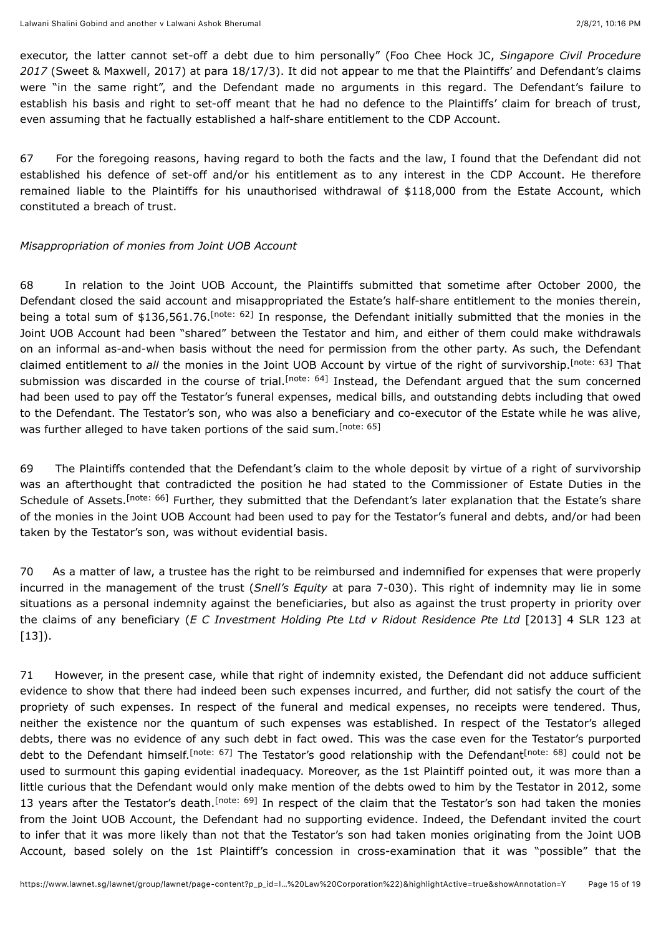executor, the latter cannot set-off a debt due to him personally" (Foo Chee Hock JC, *Singapore Civil Procedure 2017* (Sweet & Maxwell, 2017) at para 18/17/3). It did not appear to me that the Plaintiffs' and Defendant's claims were "in the same right", and the Defendant made no arguments in this regard. The Defendant's failure to establish his basis and right to set-off meant that he had no defence to the Plaintiffs' claim for breach of trust, even assuming that he factually established a half-share entitlement to the CDP Account.

67 For the foregoing reasons, having regard to both the facts and the law, I found that the Defendant did not established his defence of set-off and/or his entitlement as to any interest in the CDP Account. He therefore remained liable to the Plaintiffs for his unauthorised withdrawal of \$118,000 from the Estate Account, which constituted a breach of trust.

## *Misappropriation of monies from Joint UOB Account*

<span id="page-14-2"></span><span id="page-14-1"></span><span id="page-14-0"></span>68 In relation to the Joint UOB Account, the Plaintiffs submitted that sometime after October 2000, the Defendant closed the said account and misappropriated the Estate's half-share entitlement to the monies therein, being a total sum of \$136,561.76.<sup>[note: 62]</sup> In response, the Defendant initially submitted that the monies in the Joint UOB Account had been "shared" between the Testator and him, and either of them could make withdrawals on an informal as-and-when basis without the need for permission from the other party. As such, the Defendant claimed entitlement to all the monies in the Joint UOB Account by virtue of the right of survivorship[.](#page-18-6)<sup>[note: 63]</sup> That submissionwas discarded in the course of trial.<sup>[note: 64]</sup> Instead, the Defendant argued that the sum concerned had been used to pay off the Testator's funeral expenses, medical bills, and outstanding debts including that owed to the Defendant. The Testator's son, who was also a beneficiary and co-executor of the Estate while he was alive, was further alleged to have taken portions of the said sum.<sup>[\[note: 65\]](#page-18-8)</sup>

<span id="page-14-4"></span><span id="page-14-3"></span>69 The Plaintiffs contended that the Defendant's claim to the whole deposit by virtue of a right of survivorship was an afterthought that contradicted the position he had stated to the Commissioner of Estate Duties in the Scheduleof Assets.<sup>[note: 66]</sup> Further, they submitted that the Defendant's later explanation that the Estate's share of the monies in the Joint UOB Account had been used to pay for the Testator's funeral and debts, and/or had been taken by the Testator's son, was without evidential basis.

70 As a matter of law, a trustee has the right to be reimbursed and indemnified for expenses that were properly incurred in the management of the trust (*Snell's Equity* at para 7-030). This right of indemnity may lie in some situations as a personal indemnity against the beneficiaries, but also as against the trust property in priority over the claims of any beneficiary (*E C Investment Holding Pte Ltd v Ridout Residence Pte Ltd* [\[2013\] 4 SLR 123](javascript:viewPageContent() at  $[13]$ .

<span id="page-14-8"></span><span id="page-14-7"></span><span id="page-14-6"></span><span id="page-14-5"></span>71 However, in the present case, while that right of indemnity existed, the Defendant did not adduce sufficient evidence to show that there had indeed been such expenses incurred, and further, did not satisfy the court of the propriety of such expenses. In respect of the funeral and medical expenses, no receipts were tendered. Thus, neither the existence nor the quantum of such expenses was established. In respect of the Testator's alleged debts, there was no evidence of any such debt in fact owed. This was the case even for the Testator's purported debt[t](#page-18-11)o the Defendant himself.<sup>[note: 67]</sup> The Testator's good relationship with the Defendant<sup>[note: 68]</sup> could not be used to surmount this gaping evidential inadequacy. Moreover, as the 1st Plaintiff pointed out, it was more than a little curious that the Defendant would only make mention of the debts owed to him by the Testator in 2012, some 13 years after the Testator's death[.](#page-18-12)<sup>[note: 69]</sup> In respect of the claim that the Testator's son had taken the monies from the Joint UOB Account, the Defendant had no supporting evidence. Indeed, the Defendant invited the court to infer that it was more likely than not that the Testator's son had taken monies originating from the Joint UOB Account, based solely on the 1st Plaintiff's concession in cross-examination that it was "possible" that the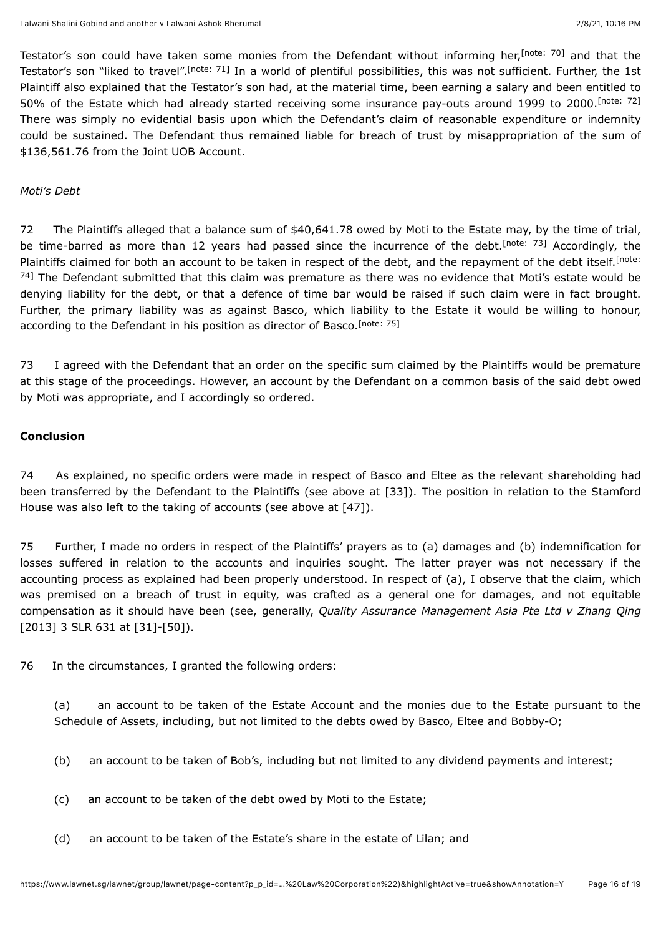<span id="page-15-1"></span><span id="page-15-0"></span>Testator's son could have taken some monies from the Defendant without informing her,<sup>[note: 70]</sup> and that the Testator'sson "liked to travel".<sup>[note: 71]</sup> In a world of plentiful possibilities, this was not sufficient. Further, the 1st Plaintiff also explained that the Testator's son had, at the material time, been earning a salary and been entitled to 50% of the Estate which had already started receiving some insurance pay-outs around 1999 to 2000. [\[note: 72\]](#page-18-15) There was simply no evidential basis upon which the Defendant's claim of reasonable expenditure or indemnity could be sustained. The Defendant thus remained liable for breach of trust by misappropriation of the sum of \$136,561.76 from the Joint UOB Account.

#### *Moti's Debt*

<span id="page-15-3"></span><span id="page-15-2"></span>72 The Plaintiffs alleged that a balance sum of \$40,641.78 owed by Moti to the Estate may, by the time of trial, be time-barred as more than 12 years had passed since the incurrence of the debt[.](#page-18-16)<sup>[note: 73]</sup> Accordingly, the Plaintiffs claimed for both an account to be taken in respect of the debt, and the repayment of the debt itself.<sup>[note:</sup> <sup>74]</sup> [The Defendant submitted that this claim was premature as there was no evidence that Moti's estate would be](#page-18-17) denying liability for the debt, or that a defence of time bar would be raised if such claim were in fact brought. Further, the primary liability was as against Basco, which liability to the Estate it would be willing to honour, according to the Defendant in his position as director of Basco.<sup>[\[note: 75\]](#page-18-18)</sup>

<span id="page-15-4"></span>73 I agreed with the Defendant that an order on the specific sum claimed by the Plaintiffs would be premature at this stage of the proceedings. However, an account by the Defendant on a common basis of the said debt owed by Moti was appropriate, and I accordingly so ordered.

#### **Conclusion**

74 As explained, no specific orders were made in respect of Basco and Eltee as the relevant shareholding had been transferred by the Defendant to the Plaintiffs (see above at [33]). The position in relation to the Stamford House was also left to the taking of accounts (see above at [47]).

75 Further, I made no orders in respect of the Plaintiffs' prayers as to (a) damages and (b) indemnification for losses suffered in relation to the accounts and inquiries sought. The latter prayer was not necessary if the accounting process as explained had been properly understood. In respect of (a), I observe that the claim, which was premised on a breach of trust in equity, was crafted as a general one for damages, and not equitable compensation as it should have been (see, generally, *Quality Assurance Management Asia Pte Ltd v Zhang Qing* [\[2013\] 3 SLR 631](javascript:viewPageContent() at [31]-[50]).

76 In the circumstances, I granted the following orders:

(a) an account to be taken of the Estate Account and the monies due to the Estate pursuant to the Schedule of Assets, including, but not limited to the debts owed by Basco, Eltee and Bobby-O;

- (b) an account to be taken of Bob's, including but not limited to any dividend payments and interest;
- (c) an account to be taken of the debt owed by Moti to the Estate;
- (d) an account to be taken of the Estate's share in the estate of Lilan; and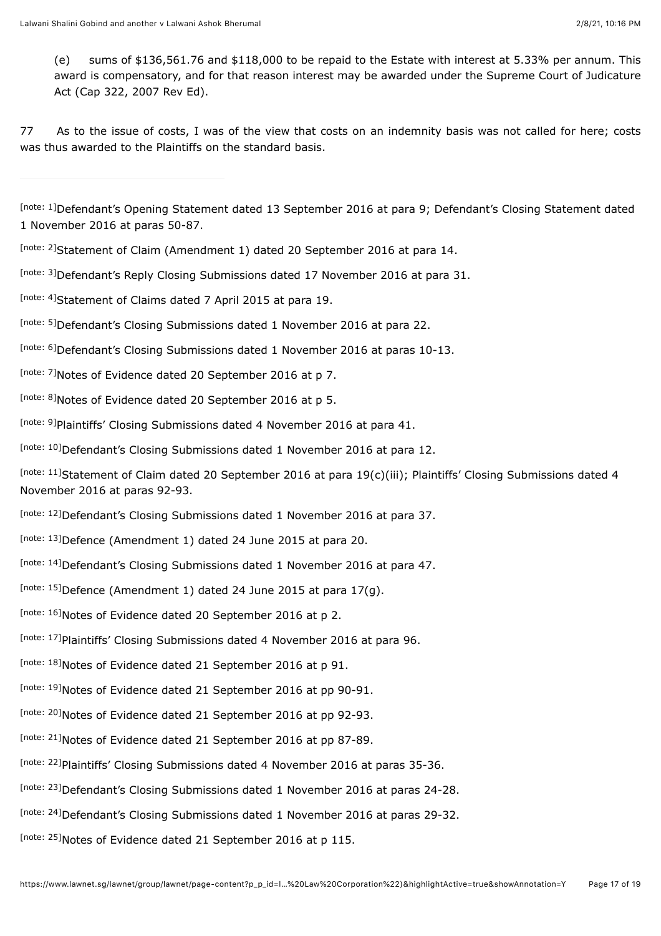(e) sums of \$136,561.76 and \$118,000 to be repaid to the Estate with interest at 5.33% per annum. This award is compensatory, and for that reason interest may be awarded under the Supreme Court of Judicature Act (Cap 322, 2007 Rev Ed).

77 As to the issue of costs, I was of the view that costs on an indemnity basis was not called for here; costs was thus awarded to the Plaintiffs on the standard basis.

<span id="page-16-0"></span>[\[note: 1\]](#page-2-0)Defendant's Opening Statement dated 13 September 2016 at para 9; Defendant's Closing Statement dated 1 November 2016 at paras 50-87.

- <span id="page-16-1"></span>[\[note: 2\]](#page-6-0)Statement of Claim (Amendment 1) dated 20 September 2016 at para 14.
- <span id="page-16-2"></span>[\[note: 3\]](#page-6-1)Defendant's Reply Closing Submissions dated 17 November 2016 at para 31.
- <span id="page-16-3"></span>[\[note: 4\]](#page-6-2)Statement of Claims dated 7 April 2015 at para 19.
- <span id="page-16-4"></span>[\[note: 5\]](#page-6-3)Defendant's Closing Submissions dated 1 November 2016 at para 22.
- <span id="page-16-5"></span>[\[note: 6\]](#page-6-4)Defendant's Closing Submissions dated 1 November 2016 at paras 10-13.
- <span id="page-16-6"></span>[\[note: 7\]](#page-6-5) Notes of Evidence dated 20 September 2016 at p 7.
- <span id="page-16-7"></span>[\[note: 8\]](#page-7-0) Notes of Evidence dated 20 September 2016 at p 5.
- <span id="page-16-8"></span>[\[note: 9\]](#page-7-1) Plaintiffs' Closing Submissions dated 4 November 2016 at para 41.
- <span id="page-16-9"></span>[\[note: 10\]](#page-7-2)Defendant's Closing Submissions dated 1 November 2016 at para 12.
- <span id="page-16-10"></span>[\[note: 11\]](#page-8-0)Statement of Claim dated 20 September 2016 at para 19(c)(iii); Plaintiffs' Closing Submissions dated 4 November 2016 at paras 92-93.
- <span id="page-16-11"></span>[\[note: 12\]](#page-8-1)Defendant's Closing Submissions dated 1 November 2016 at para 37.
- <span id="page-16-12"></span>[\[note: 13\]](#page-8-2)Defence (Amendment 1) dated 24 June 2015 at para 20.
- <span id="page-16-13"></span>Inote: 14]Defendant's Closing Submissions dated 1 November 2016 at para 47.
- <span id="page-16-14"></span>[\[note: 15\]](#page-8-4)Defence (Amendment 1) dated 24 June 2015 at para  $17(g)$ .
- <span id="page-16-15"></span>[\[note: 16\]](#page-8-5) Notes of Evidence dated 20 September 2016 at p 2.
- <span id="page-16-16"></span>[\[note: 17\]](#page-8-6) Plaintiffs' Closing Submissions dated 4 November 2016 at para 96.
- <span id="page-16-17"></span>[\[note: 18\]](#page-8-7) Notes of Evidence dated 21 September 2016 at p 91.
- <span id="page-16-18"></span>[\[note: 19\]](#page-8-8) Notes of Evidence dated 21 September 2016 at pp 90-91.
- <span id="page-16-19"></span>[\[note: 20\]](#page-8-9) Notes of Evidence dated 21 September 2016 at pp 92-93.
- <span id="page-16-20"></span>[\[note: 21\]](#page-8-10) Notes of Evidence dated 21 September 2016 at pp 87-89.
- <span id="page-16-21"></span>[\[note: 22\]](#page-9-0) Plaintiffs' Closing Submissions dated 4 November 2016 at paras 35-36.
- <span id="page-16-22"></span>[\[note: 23\]](#page-9-1)Defendant's Closing Submissions dated 1 November 2016 at paras 24-28.
- <span id="page-16-23"></span>[\[note: 24\]](#page-9-2)Defendant's Closing Submissions dated 1 November 2016 at paras 29-32.
- <span id="page-16-24"></span>[\[note: 25\]](#page-9-3) Notes of Evidence dated 21 September 2016 at p 115.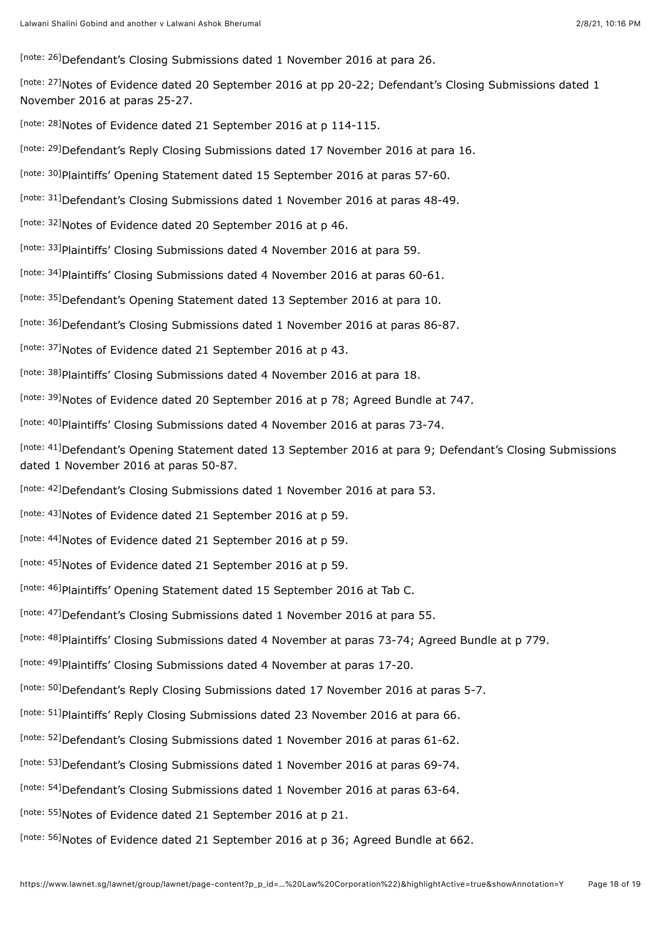- <span id="page-17-0"></span>[\[note: 26\]](#page-9-4)Defendant's Closing Submissions dated 1 November 2016 at para 26.
- <span id="page-17-1"></span>[\[note: 27\]](#page-9-5)Notes of Evidence dated 20 September 2016 at pp 20-22; Defendant's Closing Submissions dated 1 November 2016 at paras 25-27.
- <span id="page-17-2"></span>[\[note: 28\]](#page-9-6) Notes of Evidence dated 21 September 2016 at p 114-115.
- <span id="page-17-3"></span>[\[note: 29\]](#page-9-7)Defendant's Reply Closing Submissions dated 17 November 2016 at para 16.
- <span id="page-17-4"></span>[\[note: 30\]](#page-9-8) Plaintiffs' Opening Statement dated 15 September 2016 at paras 57-60.
- <span id="page-17-5"></span>[\[note: 31\]](#page-10-0)Defendant's Closing Submissions dated 1 November 2016 at paras 48-49.
- <span id="page-17-6"></span>[\[note: 32\]](#page-10-1) Notes of Evidence dated 20 September 2016 at p 46.
- <span id="page-17-7"></span>[\[note: 33\]](#page-11-0) Plaintiffs' Closing Submissions dated 4 November 2016 at para 59.
- <span id="page-17-8"></span>[\[note: 34\]](#page-11-1) Plaintiffs' Closing Submissions dated 4 November 2016 at paras 60-61.
- <span id="page-17-9"></span>[\[note: 35\]](#page-11-2)Defendant's Opening Statement dated 13 September 2016 at para 10.
- <span id="page-17-10"></span>[\[note: 36\]](#page-11-3)Defendant's Closing Submissions dated 1 November 2016 at paras 86-87.
- <span id="page-17-11"></span>[\[note: 37\]](#page-11-4) Notes of Evidence dated 21 September 2016 at p 43.
- <span id="page-17-12"></span>[\[note: 38\]](#page-11-5) Plaintiffs' Closing Submissions dated 4 November 2016 at para 18.
- <span id="page-17-13"></span>[\[note: 39\]](#page-12-0)Notes of Evidence dated 20 September 2016 at p 78; Agreed Bundle at 747.
- <span id="page-17-14"></span>[\[note: 40\]](#page-12-1) Plaintiffs' Closing Submissions dated 4 November 2016 at paras 73-74.
- <span id="page-17-15"></span>[\[note: 41\]](#page-12-2)Defendant's Opening Statement dated 13 September 2016 at para 9; Defendant's Closing Submissions dated 1 November 2016 at paras 50-87.
- <span id="page-17-16"></span>Inote: 42]Defendant's Closing Submissions dated 1 November 2016 at para 53.
- <span id="page-17-17"></span>[\[note: 43\]](#page-12-4) Notes of Evidence dated 21 September 2016 at p 59.
- <span id="page-17-18"></span>[\[note: 44\]](#page-12-5) Notes of Evidence dated 21 September 2016 at p 59.
- <span id="page-17-19"></span>[\[note: 45\]](#page-12-6) Notes of Evidence dated 21 September 2016 at p 59.
- <span id="page-17-20"></span>[\[note: 46\]](#page-12-7) Plaintiffs' Opening Statement dated 15 September 2016 at Tab C.
- <span id="page-17-21"></span>[\[note: 47\]](#page-12-8)Defendant's Closing Submissions dated 1 November 2016 at para 55.
- <span id="page-17-22"></span>[\[note: 48\]](#page-13-0)plaintiffs' Closing Submissions dated 4 November at paras 73-74; Agreed Bundle at p 779.
- <span id="page-17-23"></span>[\[note: 49\]](#page-13-1) Plaintiffs' Closing Submissions dated 4 November at paras 17-20.
- <span id="page-17-24"></span>[\[note: 50\]](#page-13-2)Defendant's Reply Closing Submissions dated 17 November 2016 at paras 5-7.
- <span id="page-17-25"></span>[\[note: 51\]](#page-13-3) Plaintiffs' Reply Closing Submissions dated 23 November 2016 at para 66.
- <span id="page-17-26"></span>[\[note: 52\]](#page-13-4)Defendant's Closing Submissions dated 1 November 2016 at paras 61-62.
- <span id="page-17-27"></span>[\[note: 53\]](#page-13-5)Defendant's Closing Submissions dated 1 November 2016 at paras 69-74.
- <span id="page-17-28"></span>[\[note: 54\]](#page-13-6)Defendant's Closing Submissions dated 1 November 2016 at paras 63-64.
- <span id="page-17-29"></span>[\[note: 55\]](#page-13-7)Notes of Evidence dated 21 September 2016 at p 21.
- <span id="page-17-30"></span><sup>[\[note: 56\]](#page-13-8)</sup>Notes of Evidence dated 21 September 2016 at p 36; Agreed Bundle at 662.